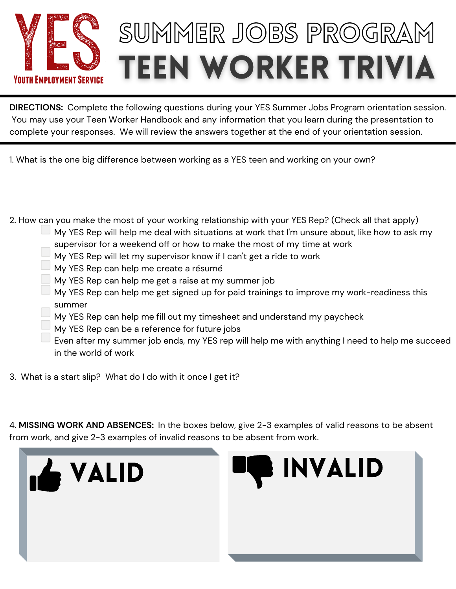

## SUMMER JOBS PROGRAM **TEEN WORKER TRIVIA**

**DIRECTIONS:** Complete the following questions during your YES Summer Jobs Program orientation session. You may use your Teen Worker Handbook and any information that you learn during the presentation to complete your responses. We will review the answers together at the end of your orientation session.

1. What is the one big difference between working as a YES teen and working on your own?

2. How can you make the most of your working relationship with your YES Rep? (Check all that apply) My YES Rep will help me deal with situations at work that I'm unsure about, like how to ask my supervisor for a weekend off or how to make the most of my time at work My YES Rep will let my supervisor know if I can't get a ride to work  $\Box$  My YES Rep can help me create a résumé My YES Rep can help me get a raise at my summer job  $\Box$  My YES Rep can help me get signed up for paid trainings to improve my work-readiness this summer  $\overline{\phantom{a}}$  My YES Rep can help me fill out my timesheet and understand my paycheck My YES Rep can be a reference for future jobs Even after my summer job ends, my YES rep will help me with anything I need to help me succeed in the world of work

3. What is a start slip? What do I do with it once I get it?

4. **MISSING WORK AND ABSENCES:** In the boxes below, give 2-3 examples of valid reasons to be absent from work, and give 2-3 examples of invalid reasons to be absent from work.